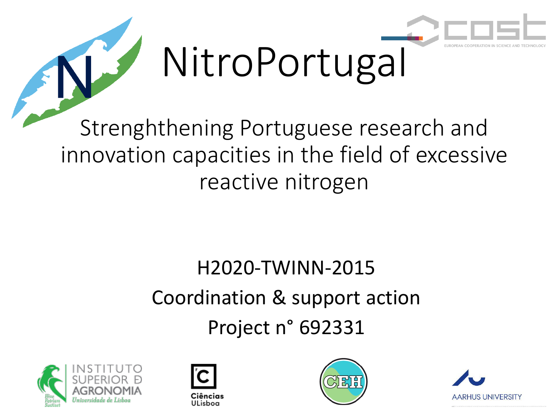

# NitroPortugal

Strenghthening Portuguese research and innovation capacities in the field of excessive reactive nitrogen

> H2020-TWINN-2015 Coordination & support action Project n° 692331







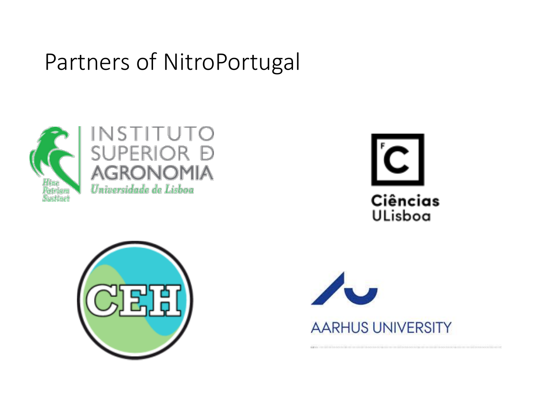### Partners of NitroPortugal









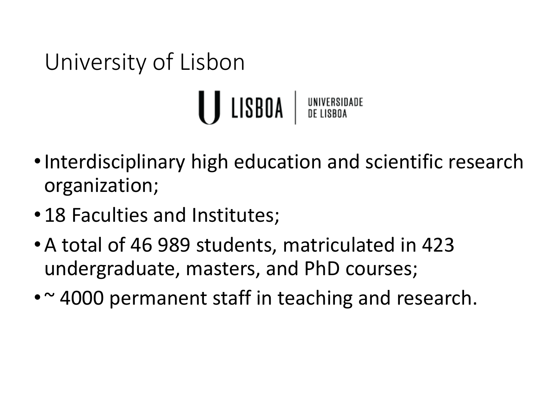# University of Lisbon

U LISBOA | UNIVERSIDADE

- Interdisciplinary high education and scientific research organization;
- 18 Faculties and Institutes;
- •A total of 46 989 students, matriculated in 423 undergraduate, masters, and PhD courses;
- ~ 4000 permanent staff in teaching and research.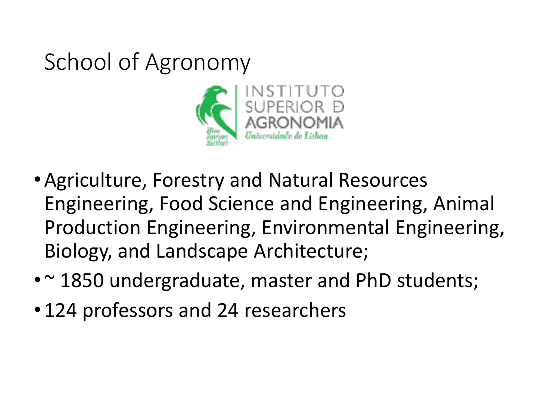## School of Agronomy



- •Agriculture, Forestry and Natural Resources Engineering, Food Science and Engineering, Animal Production Engineering, Environmental Engineering, Biology, and Landscape Architecture;
- ~ 1850 undergraduate, master and PhD students;
- 124 professors and 24 researchers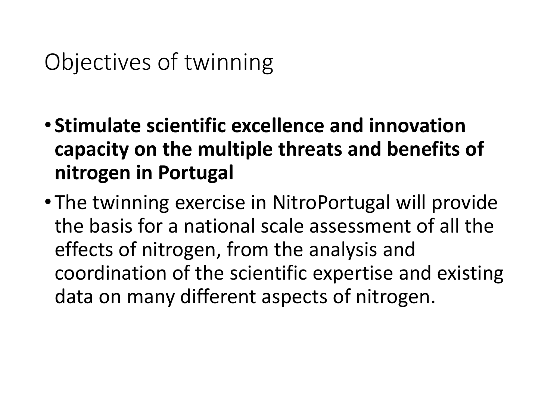## Objectives of twinning

- **Stimulate scientific excellence and innovation capacity on the multiple threats and benefits of nitrogen in Portugal**
- The twinning exercise in NitroPortugal will provide the basis for a national scale assessment of all the effects of nitrogen, from the analysis and coordination of the scientific expertise and existing data on many different aspects of nitrogen.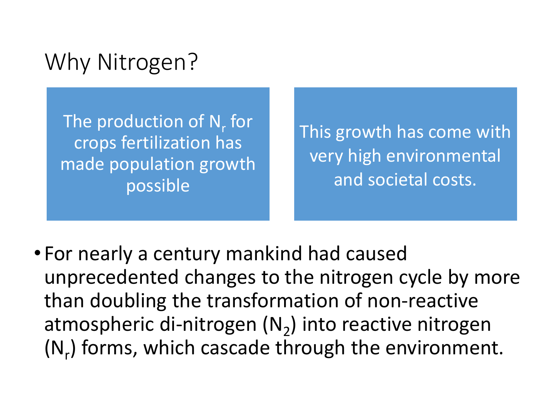### Why Nitrogen?

The production of  $\mathsf{N}_\mathsf{r}$  for crops fertilization has made population growth possible

This growth has come with very high environmental and societal costs.

• For nearly a century mankind had caused unprecedented changes to the nitrogen cycle by more than doubling the transformation of non-reactive atmospheric di-nitrogen  $(N_2)$  into reactive nitrogen  $(N_r)$  forms, which cascade through the environment.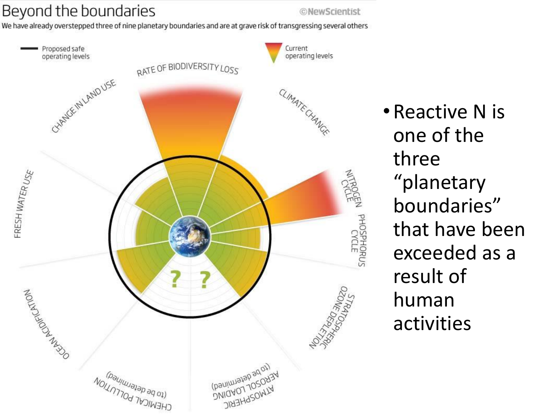#### Beyond the boundaries

We have already overstepped three of nine planetary boundaries and are at grave risk of transgressing several others



•Reactive N is one of the three "planetary boundaries" that have been exceeded as a result of human activities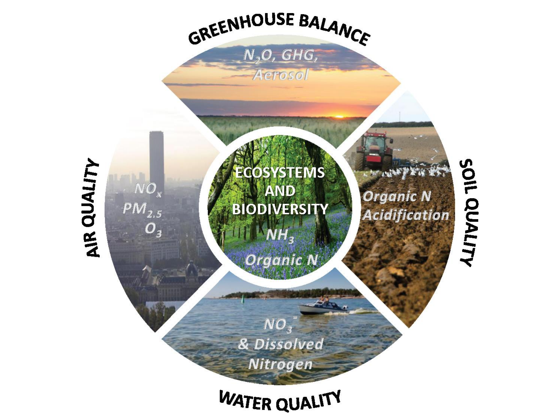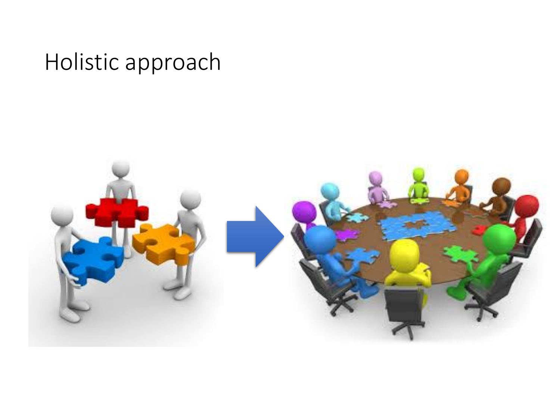## Holistic approach

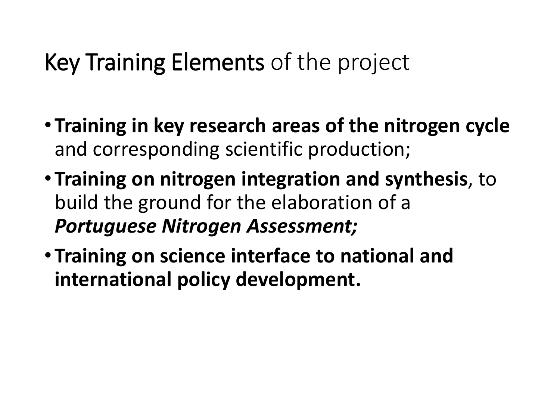## Key Training Elements of the project

- **Training in key research areas of the nitrogen cycle** and corresponding scientific production;
- **Training on nitrogen integration and synthesis**, to build the ground for the elaboration of a *Portuguese Nitrogen Assessment;*
- **Training on science interface to national and international policy development.**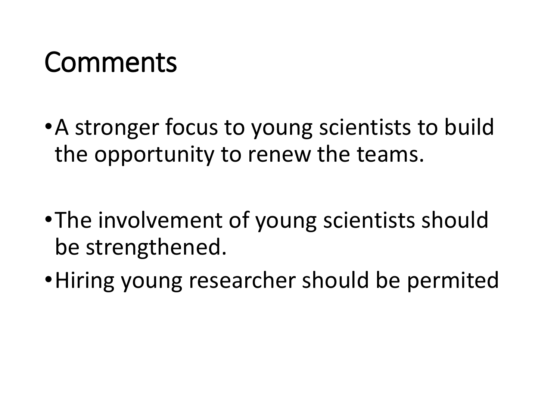# Comments

- •A stronger focus to young scientists to build the opportunity to renew the teams.
- •The involvement of young scientists should be strengthened.
- •Hiring young researcher should be permited